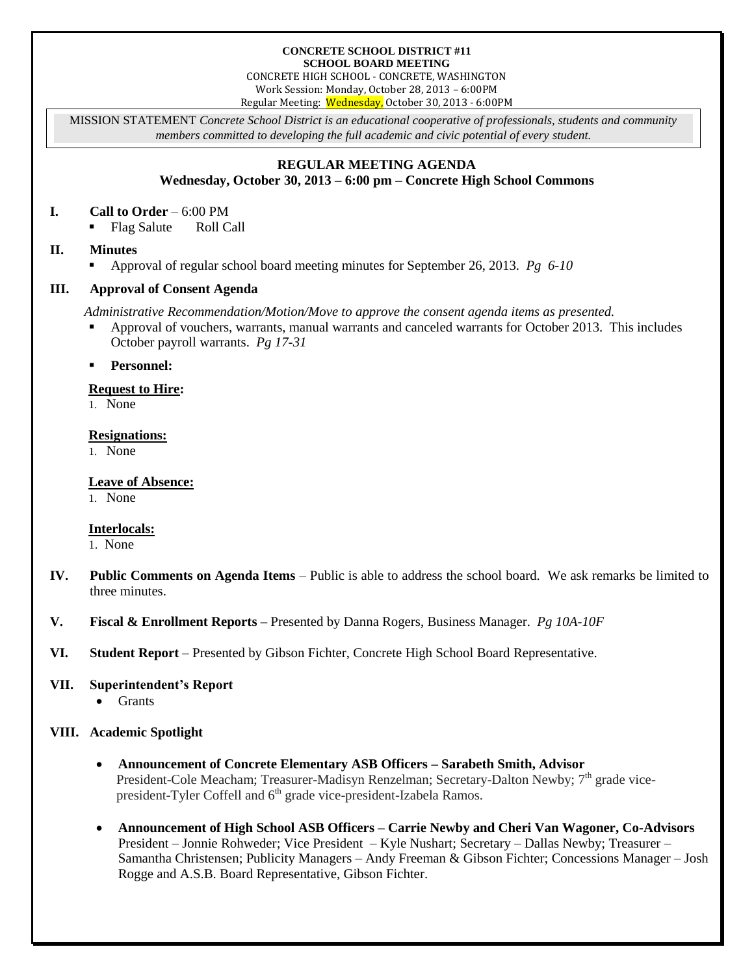#### **CONCRETE SCHOOL DISTRICT #11 SCHOOL BOARD MEETING**

CONCRETE HIGH SCHOOL - CONCRETE, WASHINGTON Work Session: Monday, October 28, 2013 – 6:00PM Regular Meeting: Wednesday, October 30, 2013 - 6:00PM

MISSION STATEMENT *Concrete School District is an educational cooperative of professionals, students and community members committed to developing the full academic and civic potential of every student.*

# **REGULAR MEETING AGENDA**

**Wednesday, October 30, 2013 – 6:00 pm – Concrete High School Commons**

# **I. Call to Order** – 6:00 PM

■ Flag Salute Roll Call

# **II. Minutes**

Approval of regular school board meeting minutes for September 26, 2013. *Pg 6-10*

# **III. Approval of Consent Agenda**

*Administrative Recommendation/Motion/Move to approve the consent agenda items as presented.*

 Approval of vouchers, warrants, manual warrants and canceled warrants for October 2013. This includes October payroll warrants. *Pg 17-31*

**Personnel:**

## **Request to Hire:**

1. None

#### **Resignations:**

1. None

## **Leave of Absence:**

1. None

## **Interlocals:**

1. None

- **IV. Public Comments on Agenda Items** Public is able to address the school board. We ask remarks be limited to three minutes.
- **V. Fiscal & Enrollment Reports –** Presented by Danna Rogers, Business Manager. *Pg 10A-10F*
- **VI. Student Report** Presented by Gibson Fichter, Concrete High School Board Representative.

## **VII. Superintendent's Report**

• Grants

# **VIII. Academic Spotlight**

- **Announcement of Concrete Elementary ASB Officers – Sarabeth Smith, Advisor** President-Cole Meacham; Treasurer-Madisyn Renzelman; Secretary-Dalton Newby;  $7<sup>th</sup>$  grade vicepresident-Tyler Coffell and  $6<sup>th</sup>$  grade vice-president-Izabela Ramos.
- **Announcement of High School ASB Officers – Carrie Newby and Cheri Van Wagoner, Co-Advisors** President – Jonnie Rohweder; Vice President – Kyle Nushart; Secretary – Dallas Newby; Treasurer – Samantha Christensen; Publicity Managers – Andy Freeman & Gibson Fichter; Concessions Manager – Josh Rogge and A.S.B. Board Representative, Gibson Fichter.